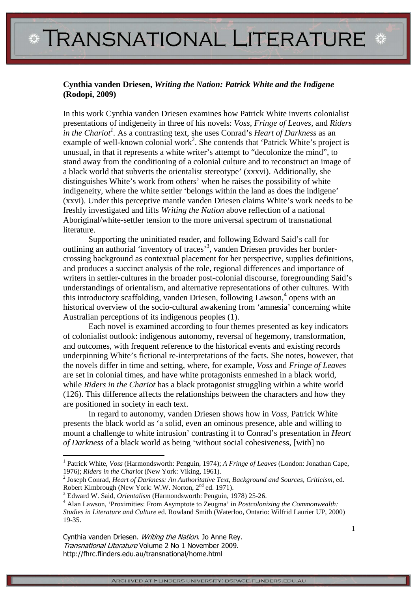## **Cynthia vanden Driesen,** *Writing the Nation: Patrick White and the Indigene*  **(Rodopi, 2009)**

In this work Cynthia vanden Driesen examines how Patrick White inverts colonialist presentations of indigeneity in three of his novels: *Voss, Fringe of Leaves,* and *Riders in the Chariot<sup>1</sup> .* As a contrasting text, she uses Conrad's *Heart of Darkness* as an example of well-known colonial work<sup>2</sup>. She contends that 'Patrick White's project is unusual, in that it represents a white writer's attempt to "decolonize the mind", to stand away from the conditioning of a colonial culture and to reconstruct an image of a black world that subverts the orientalist stereotype' (xxxvi). Additionally, she distinguishes White's work from others' when he raises the possibility of white indigeneity, where the white settler 'belongs within the land as does the indigene' (xxvi). Under this perceptive mantle vanden Driesen claims White's work needs to be freshly investigated and lifts *Writing the Nation* above reflection of a national Aboriginal/white-settler tension to the more universal spectrum of transnational literature.

 Supporting the uninitiated reader, and following Edward Said's call for outlining an authorial 'inventory of traces'<sup>3</sup> , vanden Driesen provides her bordercrossing background as contextual placement for her perspective, supplies definitions, and produces a succinct analysis of the role, regional differences and importance of writers in settler-cultures in the broader post-colonial discourse, foregrounding Said's understandings of orientalism, and alternative representations of other cultures. With this introductory scaffolding, vanden Driesen, following Lawson,<sup>4</sup> opens with an historical overview of the socio-cultural awakening from 'amnesia' concerning white Australian perceptions of its indigenous peoples (1).

 Each novel is examined according to four themes presented as key indicators of colonialist outlook: indigenous autonomy, reversal of hegemony, transformation, and outcomes, with frequent reference to the historical events and existing records underpinning White's fictional re-interpretations of the facts. She notes, however, that the novels differ in time and setting, where, for example, *Voss* and *Fringe of Leaves*  are set in colonial times, and have white protagonists enmeshed in a black world, while *Riders in the Chariot* has a black protagonist struggling within a white world (126). This difference affects the relationships between the characters and how they are positioned in society in each text.

 In regard to autonomy, vanden Driesen shows how in *Voss,* Patrick White presents the black world as 'a solid, even an ominous presence, able and willing to mount a challenge to white intrusion' contrasting it to Conrad's presentation in *Heart of Darkness* of a black world as being 'without social cohesiveness, [with] no

Cynthia vanden Driesen. Writing the Nation. Jo Anne Rey. Transnational Literature Volume 2 No 1 November 2009. http://fhrc.flinders.edu.au/transnational/home.html

 $\overline{a}$ 

<sup>&</sup>lt;sup>1</sup> Patrick White, *Voss* (Harmondsworth: Penguin, 1974); *A Fringe of Leaves* (London: Jonathan Cape, 1976); *Riders in the Chariot* (New York: Viking, 1961).

<sup>&</sup>lt;sup>2</sup> Joseph Conrad, *Heart of Darkness: An Authoritative Text, Background and Sources, Criticism, ed.* Robert Kimbrough (New York: W.W. Norton, 2<sup>nd</sup> ed. 1971).

<sup>3</sup> Edward W. Said, *Orientalism* (Harmondsworth: Penguin, 1978) 25-26.

<sup>4</sup> Alan Lawson, 'Proximities: From Asymptote to Zeugma' in *Postcolonizing the Commonwealth: Studies in Literature and Culture* ed. Rowland Smith (Waterloo, Ontario: Wilfrid Laurier UP, 2000) 19-35.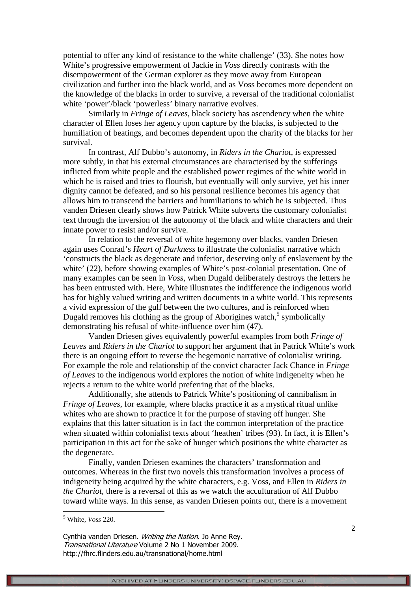potential to offer any kind of resistance to the white challenge' (33). She notes how White's progressive empowerment of Jackie in *Voss* directly contrasts with the disempowerment of the German explorer as they move away from European civilization and further into the black world, and as Voss becomes more dependent on the knowledge of the blacks in order to survive, a reversal of the traditional colonialist white 'power'/black 'powerless' binary narrative evolves.

 Similarly in *Fringe of Leaves*, black society has ascendency when the white character of Ellen loses her agency upon capture by the blacks, is subjected to the humiliation of beatings, and becomes dependent upon the charity of the blacks for her survival.

 In contrast, Alf Dubbo's autonomy, in *Riders in the Chariot*, is expressed more subtly, in that his external circumstances are characterised by the sufferings inflicted from white people and the established power regimes of the white world in which he is raised and tries to flourish, but eventually will only survive, yet his inner dignity cannot be defeated, and so his personal resilience becomes his agency that allows him to transcend the barriers and humiliations to which he is subjected. Thus vanden Driesen clearly shows how Patrick White subverts the customary colonialist text through the inversion of the autonomy of the black and white characters and their innate power to resist and/or survive.

 In relation to the reversal of white hegemony over blacks, vanden Driesen again uses Conrad's *Heart of Darkness* to illustrate the colonialist narrative which 'constructs the black as degenerate and inferior, deserving only of enslavement by the white' (22), before showing examples of White's post-colonial presentation. One of many examples can be seen in *Voss*, when Dugald deliberately destroys the letters he has been entrusted with. Here, White illustrates the indifference the indigenous world has for highly valued writing and written documents in a white world. This represents a vivid expression of the gulf between the two cultures, and is reinforced when Dugald removes his clothing as the group of Aborigines watch, $5$  symbolically demonstrating his refusal of white-influence over him (47).

 Vanden Driesen gives equivalently powerful examples from both *Fringe of Leaves* and *Riders in the Chariot* to support her argument that in Patrick White's work there is an ongoing effort to reverse the hegemonic narrative of colonialist writing. For example the role and relationship of the convict character Jack Chance in *Fringe of Leaves* to the indigenous world explores the notion of white indigeneity when he rejects a return to the white world preferring that of the blacks.

 Additionally, she attends to Patrick White's positioning of cannibalism in *Fringe of Leaves*, for example, where blacks practice it as a mystical ritual unlike whites who are shown to practice it for the purpose of staving off hunger. She explains that this latter situation is in fact the common interpretation of the practice when situated within colonialist texts about 'heathen' tribes (93). In fact, it is Ellen's participation in this act for the sake of hunger which positions the white character as the degenerate.

 Finally, vanden Driesen examines the characters' transformation and outcomes. Whereas in the first two novels this transformation involves a process of indigeneity being acquired by the white characters, e.g. Voss, and Ellen in *Riders in the Chariot*, there is a reversal of this as we watch the acculturation of Alf Dubbo toward white ways. In this sense, as vanden Driesen points out, there is a movement

 $\overline{a}$ 

Cynthia vanden Driesen. Writing the Nation. Jo Anne Rey. Transnational Literature Volume 2 No 1 November 2009. http://fhrc.flinders.edu.au/transnational/home.html

<sup>5</sup> White, *Voss* 220.